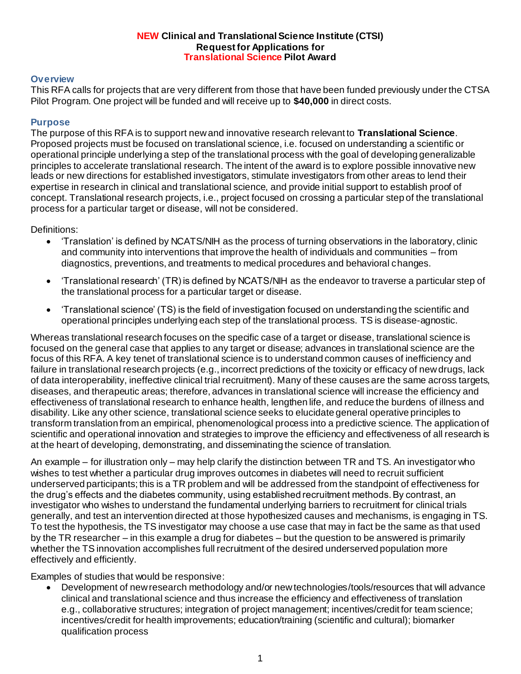#### **NEW Clinical and Translational Science Institute (CTSI) Request for Applications for Translational Science Pilot Award**

### **Overview**

This RFA calls for projects that are very different from those that have been funded previously under the CTSA Pilot Program. One project will be funded and will receive up to **\$40,000** in direct costs.

#### **Purpose**

The purpose of this RFA is to support new and innovative research relevant to **Translational Science**. Proposed projects must be focused on translational science, i.e. focused on understanding a scientific or operational principle underlying a step of the translational process with the goal of developing generalizable principles to accelerate translational research. The intent of the award is to explore possible innovative new leads or new directions for established investigators, stimulate investigators from other areas to lend their expertise in research in clinical and translational science, and provide initial support to establish proof of concept. Translational research projects, i.e., project focused on crossing a particular step of the translational process for a particular target or disease, will not be considered.

Definitions:

- 'Translation' is defined by NCATS/NIH as the process of turning observations in the laboratory, clinic and community into interventions that improve the health of individuals and communities – from diagnostics, preventions, and treatments to medical procedures and behavioral changes.
- 'Translational research' (TR) is defined by NCATS/NIH as the endeavor to traverse a particular step of the translational process for a particular target or disease.
- 'Translational science' (TS) is the field of investigation focused on understanding the scientific and operational principles underlying each step of the translational process. TS is disease-agnostic.

Whereas translational research focuses on the specific case of a target or disease, translational science is focused on the general case that applies to any target or disease; advances in translational science are the focus of this RFA. A key tenet of translational science is to understand common causes of inefficiency and failure in translational research projects (e.g., incorrect predictions of the toxicity or efficacy of new drugs, lack of data interoperability, ineffective clinical trial recruitment). Many of these causes are the same across targets, diseases, and therapeutic areas; therefore, advances in translational science will increase the efficiency and effectiveness of translational research to enhance health, lengthen life, and reduce the burdens of illness and disability. Like any other science, translational science seeks to elucidate general operative principles to transform translation from an empirical, phenomenological process into a predictive science. The application of scientific and operational innovation and strategies to improve the efficiency and effectiveness of all research is at the heart of developing, demonstrating, and disseminating the science of translation.

An example – for illustration only – may help clarify the distinction between TR and TS. An investigator who wishes to test whether a particular drug improves outcomes in diabetes will need to recruit sufficient underserved participants; this is a TR problem and will be addressed from the standpoint of effectiveness for the drug's effects and the diabetes community, using established recruitment methods. By contrast, an investigator who wishes to understand the fundamental underlying barriers to recruitment for clinical trials generally, and test an intervention directed at those hypothesized causes and mechanisms, is engaging in TS. To test the hypothesis, the TS investigator may choose a use case that may in fact be the same as that used by the TR researcher – in this example a drug for diabetes – but the question to be answered is primarily whether the TS innovation accomplishes full recruitment of the desired underserved population more effectively and efficiently.

Examples of studies that would be responsive:

 Development of new research methodology and/or new technologies/tools/resources that will advance clinical and translational science and thus increase the efficiency and effectiveness of translation e.g., collaborative structures; integration of project management; incentives/credit for team science; incentives/credit for health improvements; education/training (scientific and cultural); biomarker qualification process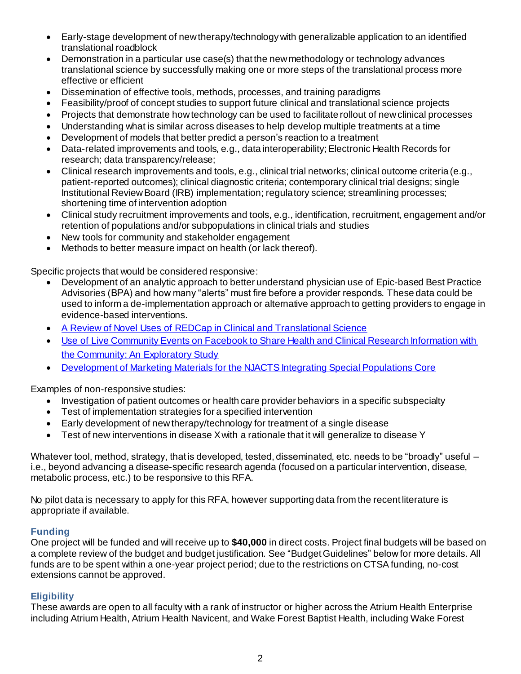- Early-stage development of new therapy/technology with generalizable application to an identified translational roadblock
- Demonstration in a particular use case(s) that the new methodology or technology advances translational science by successfully making one or more steps of the translational process more effective or efficient
- Dissemination of effective tools, methods, processes, and training paradigms
- Feasibility/proof of concept studies to support future clinical and translational science projects
- Projects that demonstrate how technology can be used to facilitate rollout of new clinical processes
- Understanding what is similar across diseases to help develop multiple treatments at a time
- Development of models that better predict a person's reaction to a treatment
- Data-related improvements and tools, e.g., data interoperability; Electronic Health Records for research; data transparency/release;
- Clinical research improvements and tools, e.g., clinical trial networks; clinical outcome criteria (e.g., patient-reported outcomes); clinical diagnostic criteria; contemporary clinical trial designs; single Institutional Review Board (IRB) implementation; regulatory science; streamlining processes; shortening time of intervention adoption
- Clinical study recruitment improvements and tools, e.g., identification, recruitment, engagement and/or retention of populations and/or subpopulations in clinical trials and studies
- New tools for community and stakeholder engagement
- Methods to better measure impact on health (or lack thereof).

Specific projects that would be considered responsive:

- Development of an analytic approach to better understand physician use of Epic-based Best Practice Advisories (BPA) and how many "alerts" must fire before a provider responds. These data could be used to inform a de-implementation approach or alternative approach to getting providers to engage in evidence-based interventions.
- [A Review of Novel Uses of REDCap in Clinical and Translational Science](https://www.cambridge.org/core/journals/journal-of-clinical-and-translational-science/article/21063-a-review-of-novel-uses-of-redcap-in-clinical-and-translational-science/ACF1DC0A13036CA8CAC6CE760C3071A4)
- [Use of Live Community Events on Facebook to Share Health and Clinical Research Information with](https://www.cambridge.org/core/journals/journal-of-clinical-and-translational-science/article/80276-use-of-live-community-events-on-facebook-to-share-health-and-clinical-research-information-with-the-community-an-exploratory-study/C601FF773A8015F06B6A7B5195FEA814)  [the Community: An Exploratory Study](https://www.cambridge.org/core/journals/journal-of-clinical-and-translational-science/article/80276-use-of-live-community-events-on-facebook-to-share-health-and-clinical-research-information-with-the-community-an-exploratory-study/C601FF773A8015F06B6A7B5195FEA814)
- **[Development of Marketing Materials for the NJACTS Integrating Special Populations Core](https://www.cambridge.org/core/journals/journal-of-clinical-and-translational-science/article/48491-development-of-marketing-materials-for-the-njacts-integrating-special-populations-core/CB2DD5483C781D15D65770C5BCD417B4)**

Examples of non-responsive studies:

- Investigation of patient outcomes or health care provider behaviors in a specific subspecialty
- Test of implementation strategies for a specified intervention
- Early development of new therapy/technology for treatment of a single disease
- Test of new interventions in disease X with a rationale that it will generalize to disease Y

Whatever tool, method, strategy, that is developed, tested, disseminated, etc. needs to be "broadly" useful – i.e., beyond advancing a disease-specific research agenda (focused on a particular intervention, disease, metabolic process, etc.) to be responsive to this RFA.

No pilot data is necessary to apply for this RFA, however supporting data from the recent literature is appropriate if available.

## **Funding**

One project will be funded and will receive up to **\$40,000** in direct costs. Project final budgets will be based on a complete review of the budget and budget justification. See "Budget Guidelines" below for more details. All funds are to be spent within a one-year project period; due to the restrictions on CTSA funding, no-cost extensions cannot be approved.

# **Eligibility**

These awards are open to all faculty with a rank of instructor or higher across the Atrium Health Enterprise including Atrium Health, Atrium Health Navicent, and Wake Forest Baptist Health, including Wake Forest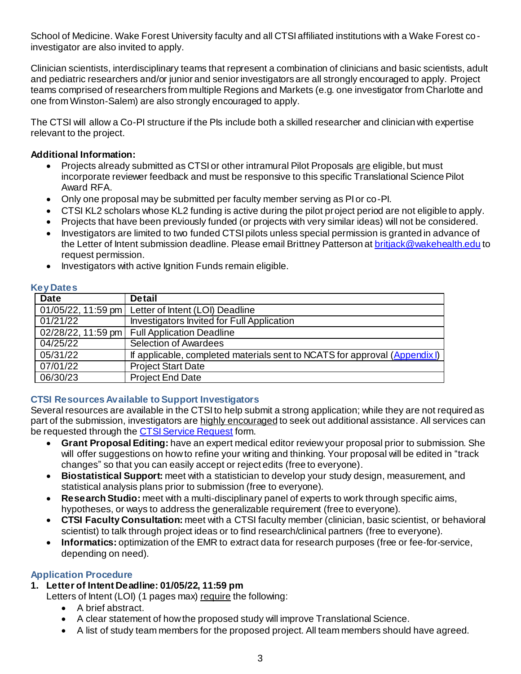School of Medicine. Wake Forest University faculty and all CTSI affiliated institutions with a Wake Forest co investigator are also invited to apply.

Clinician scientists, interdisciplinary teams that represent a combination of clinicians and basic scientists, adult and pediatric researchers and/or junior and senior investigators are all strongly encouraged to apply. Project teams comprised of researchers from multiple Regions and Markets (e.g. one investigator from Charlotte and one from Winston-Salem) are also strongly encouraged to apply.

The CTSI will allow a Co-PI structure if the PIs include both a skilled researcher and clinician with expertise relevant to the project.

## **Additional Information:**

- Projects already submitted as CTSI or other intramural Pilot Proposals are eligible, but must incorporate reviewer feedback and must be responsive to this specific Translational Science Pilot Award RFA.
- Only one proposal may be submitted per faculty member serving as PI or co-PI.
- CTSI KL2 scholars whose KL2 funding is active during the pilot project period are not eligible to apply.
- Projects that have been previously funded (or projects with very similar ideas) will not be considered.
- Investigators are limited to two funded CTSI pilots unless special permission is granted in advance of the Letter of Intent submission deadline. Please email Brittney Patterson a[t britjack@wakehealth.edu](mailto:britjack@wakehealth.edu) to request permission.
- Investigators with active Ignition Funds remain eligible.

## **Key Dates**

| .           |                                                                          |
|-------------|--------------------------------------------------------------------------|
| <b>Date</b> | <b>Detail</b>                                                            |
|             | 01/05/22, 11:59 pm   Letter of Intent (LOI) Deadline                     |
| 01/21/22    | Investigators Invited for Full Application                               |
|             | 02/28/22, 11:59 pm   Full Application Deadline                           |
| 04/25/22    | <b>Selection of Awardees</b>                                             |
| 05/31/22    | If applicable, completed materials sent to NCATS for approval (Appendix) |
| 07/01/22    | <b>Project Start Date</b>                                                |
| 06/30/23    | <b>Project End Date</b>                                                  |

# **CTSI Resources Available to Support Investigators**

Several resources are available in the CTSI to help submit a strong application; while they are not required as part of the submission, investigators are highly encouraged to seek out additional assistance. All services can be requested through the **CTSI Service Request** form.

- **Grant Proposal Editing:** have an expert medical editor review your proposal prior to submission. She will offer suggestions on how to refine your writing and thinking. Your proposal will be edited in "track changes" so that you can easily accept or reject edits (free to everyone).
- **Biostatistical Support:** meet with a statistician to develop your study design, measurement, and statistical analysis plans prior to submission (free to everyone).
- **Research Studio:** meet with a multi-disciplinary panel of experts to work through specific aims, hypotheses, or ways to address the generalizable requirement (free to everyone).
- **CTSI Faculty Consultation:** meet with a CTSI faculty member (clinician, basic scientist, or behavioral scientist) to talk through project ideas or to find research/clinical partners (free to everyone).
- **Informatics:** optimization of the EMR to extract data for research purposes (free or fee-for-service, depending on need).

## **Application Procedure**

**1. Letter of Intent Deadline: 01/05/22, 11:59 pm**

Letters of Intent (LOI) (1 pages max) require the following:

- A brief abstract.
- A clear statement of how the proposed study will improve Translational Science.
- A list of study team members for the proposed project. All team members should have agreed.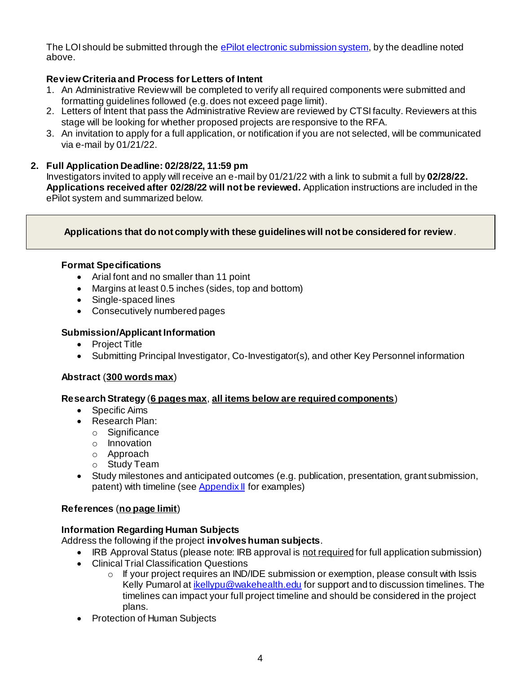The LOI should be submitted through th[e ePilot electronic submission system](https://redcap.wakehealth.edu/redcap/surveys/?s=WEHYJCKM9P38NFKR), by the deadline noted above.

# **Review Criteria and Process for Letters of Intent**

- 1. An Administrative Review will be completed to verify all required components were submitted and formatting guidelines followed (e.g. does not exceed page limit).
- 2. Letters of Intent that pass the Administrative Review are reviewed by CTSI faculty. Reviewers at this stage will be looking for whether proposed projects are responsive to the RFA.
- 3. An invitation to apply for a full application, or notification if you are not selected, will be communicated via e-mail by 01/21/22.

## **2. Full Application Deadline: 02/28/22, 11:59 pm**

Investigators invited to apply will receive an e-mail by 01/21/22 with a link to submit a full by **02/28/22. Applications received after 02/28/22 will not be reviewed.** Application instructions are included in the ePilot system and summarized below.

## **Applications that do not comply with these guidelines will not be considered for review**.

## **Format Specifications**

- Arial font and no smaller than 11 point
- Margins at least 0.5 inches (sides, top and bottom)
- Single-spaced lines
- Consecutively numbered pages

## **Submission/Applicant Information**

- Project Title
- Submitting Principal Investigator, Co-Investigator(s), and other Key Personnel information

## **Abstract** (**300 words max**)

## **Research Strategy** (**6 pages max**, **all items below are required components**)

- Specific Aims
- Research Plan:
	- o Significance
	- o Innovation
	- o Approach
	- o Study Team
- Study milestones and anticipated outcomes (e.g. publication, presentation, grant submission, patent) with timeline (see **Appendix II** for examples)

## **References** (**no page limit**)

## **Information Regarding Human Subjects**

Address the following if the project **involves human subjects**.

- IRB Approval Status (please note: IRB approval is not required for full application submission)
- Clinical Trial Classification Questions
	- o If your project requires an IND/IDE submission or exemption, please consult with Issis Kelly Pumarol at *ikellypu@wakehealth.edu* for support and to discussion timelines. The timelines can impact your full project timeline and should be considered in the project plans.
- Protection of Human Subjects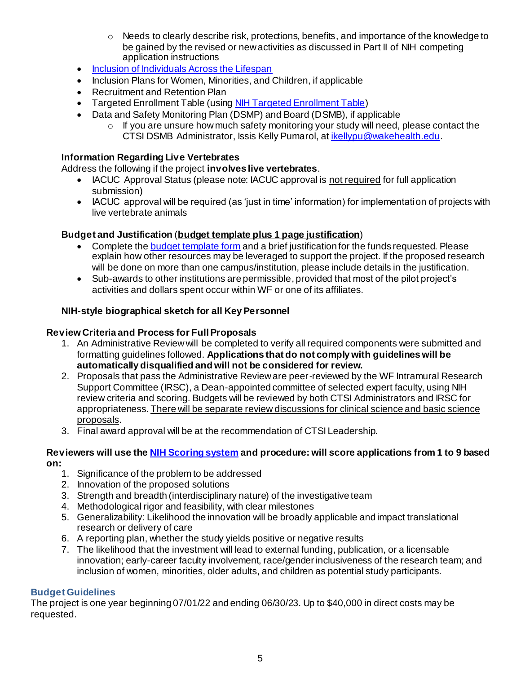- $\circ$  Needs to clearly describe risk, protections, benefits, and importance of the knowledge to be gained by the revised or new activities as discussed in Part II of NIH competing application instructions
- [Inclusion of Individuals Across the Lifespan](https://grants.nih.gov/policy/inclusion/lifespan.htm)
- Inclusion Plans for Women, Minorities, and Children, if applicable
- Recruitment and Retention Plan
- Targeted Enrollment Table (using **NIH Targeted Enrollment Table)**
- Data and Safety Monitoring Plan (DSMP) and Board (DSMB), if applicable
	- o If you are unsure how much safety monitoring your study will need, please contact the CTSI DSMB Administrator, Issis Kelly Pumarol, at [ikellypu@wakehealth.edu](mailto:ikellypu@wakehealth.edu).

# **Information Regarding Live Vertebrates**

Address the following if the project **involves live vertebrates**.

- IACUC Approval Status (please note: IACUC approval is not required for full application submission)
- IACUC approval will be required (as 'just in time' information) for implementation of projects with live vertebrate animals

# **Budget and Justification** (**budget template plus 1 page justification**)

- Complete the **budget template form** and a brief justification for the funds requested. Please explain how other resources may be leveraged to support the project. If the proposed research will be done on more than one campus/institution, please include details in the justification.
- Sub-awards to other institutions are permissible, provided that most of the pilot project's activities and dollars spent occur within WF or one of its affiliates.

## **NIH-style biographical sketch for all Key Personnel**

## **Review Criteria and Process for Full Proposals**

- 1. An Administrative Review will be completed to verify all required components were submitted and formatting guidelines followed. **Applications that do not comply with guidelines will be automatically disqualified and will not be considered for review.**
- 2. Proposals that pass the Administrative Review are peer-reviewed by the WF Intramural Research Support Committee (IRSC), a Dean-appointed committee of selected expert faculty, using NIH review criteria and scoring. Budgets will be reviewed by both CTSI Administrators and IRSC for appropriateness. There will be separate review discussions for clinical science and basic science proposals.
- 3. Final award approval will be at the recommendation of CTSI Leadership.

#### **Reviewers will use th[e NIH Scoring system](https://grants.nih.gov/grants/peer/guidelines_general/scoring_system_and_procedure.pdf) and procedure: will score applications from 1 to 9 based on:**

- 1. Significance of the problem to be addressed
- 2. Innovation of the proposed solutions
- 3. Strength and breadth (interdisciplinary nature) of the investigative team
- 4. Methodological rigor and feasibility, with clear milestones
- 5. Generalizability: Likelihood the innovation will be broadly applicable and impact translational research or delivery of care
- 6. A reporting plan, whether the study yields positive or negative results
- 7. The likelihood that the investment will lead to external funding, publication, or a licensable innovation; early-career faculty involvement, race/gender inclusiveness of the research team; and inclusion of women, minorities, older adults, and children as potential study participants.

## **Budget Guidelines**

The project is one year beginning 07/01/22 and ending 06/30/23. Up to \$40,000 in direct costs may be requested.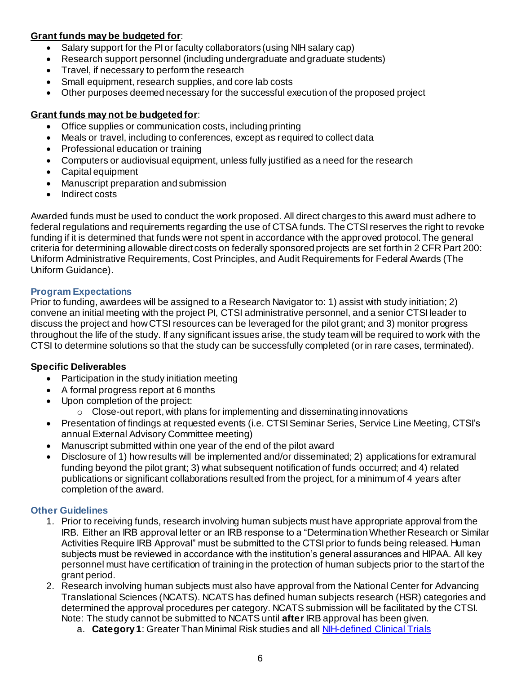# **Grant funds may be budgeted for**:

- Salary support for the PI or faculty collaborators (using NIH salary cap)
- Research support personnel (including undergraduate and graduate students)
- Travel, if necessary to perform the research
- Small equipment, research supplies, and core lab costs
- Other purposes deemed necessary for the successful execution of the proposed project

# **Grant funds may not be budgeted for**:

- Office supplies or communication costs, including printing
- Meals or travel, including to conferences, except as required to collect data
- Professional education or training
- Computers or audiovisual equipment, unless fully justified as a need for the research
- Capital equipment
- Manuscript preparation and submission
- Indirect costs

Awarded funds must be used to conduct the work proposed. All direct charges to this award must adhere to federal regulations and requirements regarding the use of CTSA funds. The CTSI reserves the right to revoke funding if it is determined that funds were not spent in accordance with the approved protocol. The general criteria for determining allowable direct costs on federally sponsored projects are set forth in 2 CFR Part 200: Uniform Administrative Requirements, Cost Principles, and Audit Requirements for Federal Awards (The Uniform Guidance).

## **Program Expectations**

Prior to funding, awardees will be assigned to a Research Navigator to: 1) assist with study initiation; 2) convene an initial meeting with the project PI, CTSI administrative personnel, and a senior CTSI leader to discuss the project and how CTSI resources can be leveraged for the pilot grant; and 3) monitor progress throughout the life of the study. If any significant issues arise, the study team will be required to work with the CTSI to determine solutions so that the study can be successfully completed (or in rare cases, terminated).

## **Specific Deliverables**

- Participation in the study initiation meeting
- A formal progress report at 6 months
- Upon completion of the project:
	- o Close-out report, with plans for implementing and disseminating innovations
- Presentation of findings at requested events (i.e. CTSI Seminar Series, Service Line Meeting, CTSI's annual External Advisory Committee meeting)
- Manuscript submitted within one year of the end of the pilot award
- Disclosure of 1) how results will be implemented and/or disseminated; 2) applications for extramural funding beyond the pilot grant; 3) what subsequent notification of funds occurred; and 4) related publications or significant collaborations resulted from the project, for a minimum of 4 years after completion of the award.

# **Other Guidelines**

- 1. Prior to receiving funds, research involving human subjects must have appropriate approval from the IRB. Either an IRB approval letter or an IRB response to a "Determination Whether Research or Similar Activities Require IRB Approval" must be submitted to the CTSI prior to funds being released. Human subjects must be reviewed in accordance with the institution's general assurances and HIPAA. All key personnel must have certification of training in the protection of human subjects prior to the start of the grant period.
- 2. Research involving human subjects must also have approval from the National Center for Advancing Translational Sciences (NCATS). NCATS has defined human subjects research (HSR) categories and determined the approval procedures per category. NCATS submission will be facilitated by the CTSI. Note: The study cannot be submitted to NCATS until **after**IRB approval has been given.
	- a. **Category 1**: Greater Than Minimal Risk studies and al[l NIH-defined Clinical Trials](https://grants.nih.gov/policy/clinical-trials/definition.htm)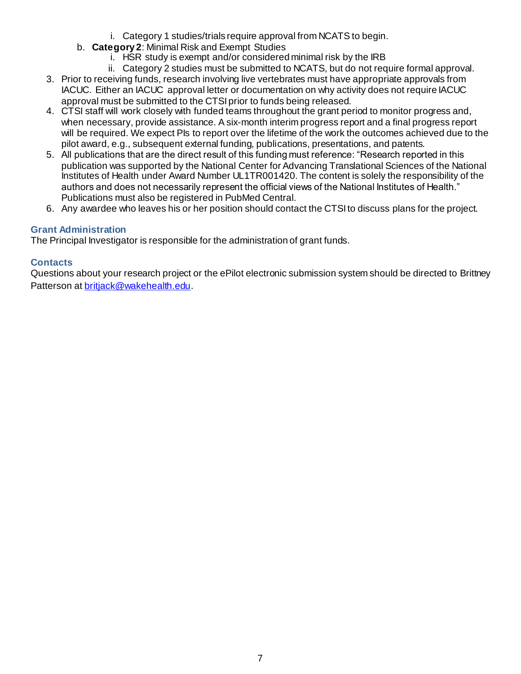- i. Category 1 studies/trials require approval from NCATS to begin.
- b. **Category 2**: Minimal Risk and Exempt Studies
	- i. HSR study is exempt and/or considered minimal risk by the IRB
	- ii. Category 2 studies must be submitted to NCATS, but do not require formal approval.
- 3. Prior to receiving funds, research involving live vertebrates must have appropriate approvals from IACUC. Either an IACUC approval letter or documentation on why activity does not require IACUC approval must be submitted to the CTSI prior to funds being released.
- 4. CTSI staff will work closely with funded teams throughout the grant period to monitor progress and, when necessary, provide assistance. A six-month interim progress report and a final progress report will be required. We expect PIs to report over the lifetime of the work the outcomes achieved due to the pilot award, e.g., subsequent external funding, publications, presentations, and patents.
- 5. All publications that are the direct result of this funding must reference: "Research reported in this publication was supported by the National Center for Advancing Translational Sciences of the National Institutes of Health under Award Number UL1TR001420. The content is solely the responsibility of the authors and does not necessarily represent the official views of the National Institutes of Health." Publications must also be registered in PubMed Central.
- 6. Any awardee who leaves his or her position should contact the CTSI to discuss plans for the project.

# **Grant Administration**

The Principal Investigator is responsible for the administration of grant funds.

# **Contacts**

Questions about your research project or the ePilot electronic submission system should be directed to Brittney Patterson a[t britjack@wakehealth.edu](mailto:britjack@wakehealth.edu).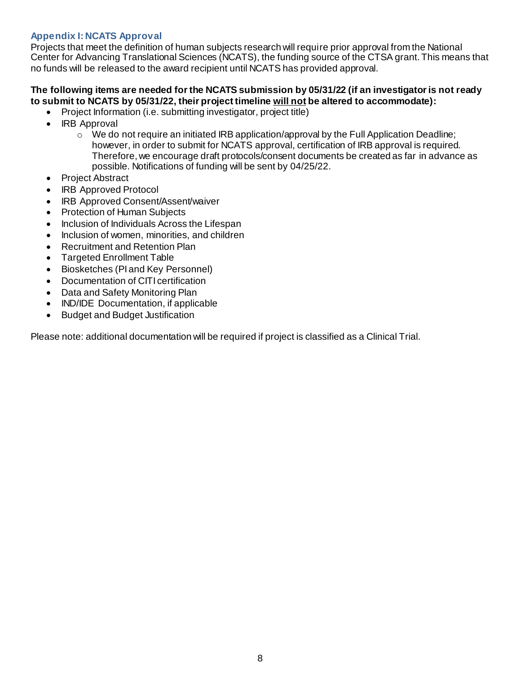# <span id="page-7-0"></span>**Appendix I: NCATS Approval**

Projects that meet the definition of human subjects research will require prior approval from the National Center for Advancing Translational Sciences (NCATS), the funding source of the CTSA grant. This means that no funds will be released to the award recipient until NCATS has provided approval.

## **The following items are needed for the NCATS submission by 05/31/22 (if an investigator is not ready to submit to NCATS by 05/31/22, their project timeline will not be altered to accommodate):**

- Project Information (i.e. submitting investigator, project title)
- IRB Approval
	- $\circ$  We do not require an initiated IRB application/approval by the Full Application Deadline; however, in order to submit for NCATS approval, certification of IRB approval is required. Therefore, we encourage draft protocols/consent documents be created as far in advance as possible. Notifications of funding will be sent by 04/25/22.
- Project Abstract
- IRB Approved Protocol
- IRB Approved Consent/Assent/waiver
- Protection of Human Subjects
- Inclusion of Individuals Across the Lifespan
- Inclusion of women, minorities, and children
- Recruitment and Retention Plan
- Targeted Enrollment Table
- Biosketches (PI and Key Personnel)
- Documentation of CITI certification
- Data and Safety Monitoring Plan
- IND/IDE Documentation, if applicable
- Budget and Budget Justification

Please note: additional documentation will be required if project is classified as a Clinical Trial.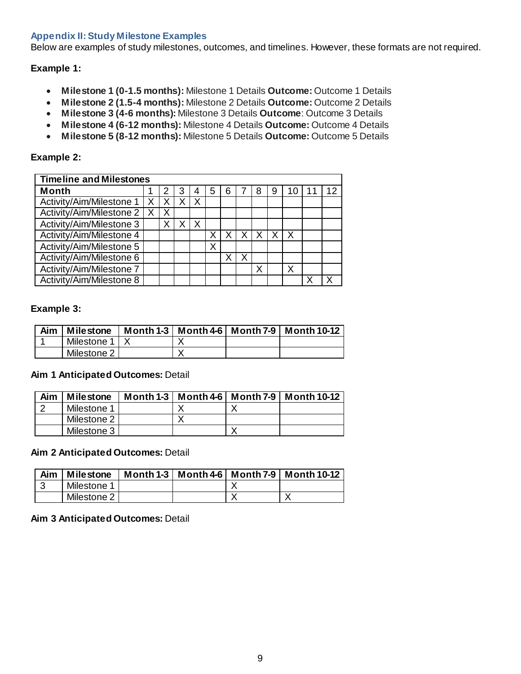## <span id="page-8-0"></span>**Appendix II: Study Milestone Examples**

Below are examples of study milestones, outcomes, and timelines. However, these formats are not required.

## **Example 1:**

- **Milestone 1 (0-1.5 months):** Milestone 1 Details **Outcome:** Outcome 1 Details
- **Milestone 2 (1.5-4 months):** Milestone 2 Details **Outcome:** Outcome 2 Details
- **Milestone 3 (4-6 months):** Milestone 3 Details **Outcome**: Outcome 3 Details
- **Milestone 4 (6-12 months):** Milestone 4 Details **Outcome:** Outcome 4 Details
- **Milestone 5 (8-12 months):** Milestone 5 Details **Outcome:** Outcome 5 Details

### **Example 2:**

| <b>Timeline and Milestones</b> |  |   |  |   |   |   |  |   |   |   |   |    |
|--------------------------------|--|---|--|---|---|---|--|---|---|---|---|----|
| <b>Month</b>                   |  | 2 |  |   | 5 | 6 |  | 8 | 9 |   | 1 | 12 |
| Activity/Aim/Milestone 1       |  |   |  |   |   |   |  |   |   |   |   |    |
| Activity/Aim/Milestone 2       |  | X |  |   |   |   |  |   |   |   |   |    |
| Activity/Aim/Milestone 3       |  |   |  | Χ |   |   |  |   |   |   |   |    |
| Activity/Aim/Milestone 4       |  |   |  |   |   |   |  |   |   | X |   |    |
| Activity/Aim/Milestone 5       |  |   |  |   | Χ |   |  |   |   |   |   |    |
| Activity/Aim/Milestone 6       |  |   |  |   |   |   |  |   |   |   |   |    |
| Activity/Aim/Milestone 7       |  |   |  |   |   |   |  | Χ |   | Х |   |    |
| Activity/Aim/Milestone 8       |  |   |  |   |   |   |  |   |   |   |   |    |

## **Example 3:**

| Aim | Milestone       |  | Month 1-3   Month 4-6   Month 7-9   Month 10-12 |
|-----|-----------------|--|-------------------------------------------------|
|     | Milestone 1   X |  |                                                 |
|     | Milestone 2 I   |  |                                                 |

## **Aim 1 Anticipated Outcomes:** Detail

| Aim | <b>Milestone</b> |  | Month 1-3   Month 4-6   Month 7-9   Month 10-12 |
|-----|------------------|--|-------------------------------------------------|
|     | Milestone 1      |  |                                                 |
|     | Milestone 2      |  |                                                 |
|     | Milestone 3      |  |                                                 |

#### **Aim 2 Anticipated Outcomes:** Detail

| Aim | Milestone     |  | Month 1-3   Month 4-6   Month 7-9   Month 10-12 |
|-----|---------------|--|-------------------------------------------------|
|     | Milestone 1   |  |                                                 |
|     | Milestone 2 I |  |                                                 |

## **Aim 3 Anticipated Outcomes:** Detail